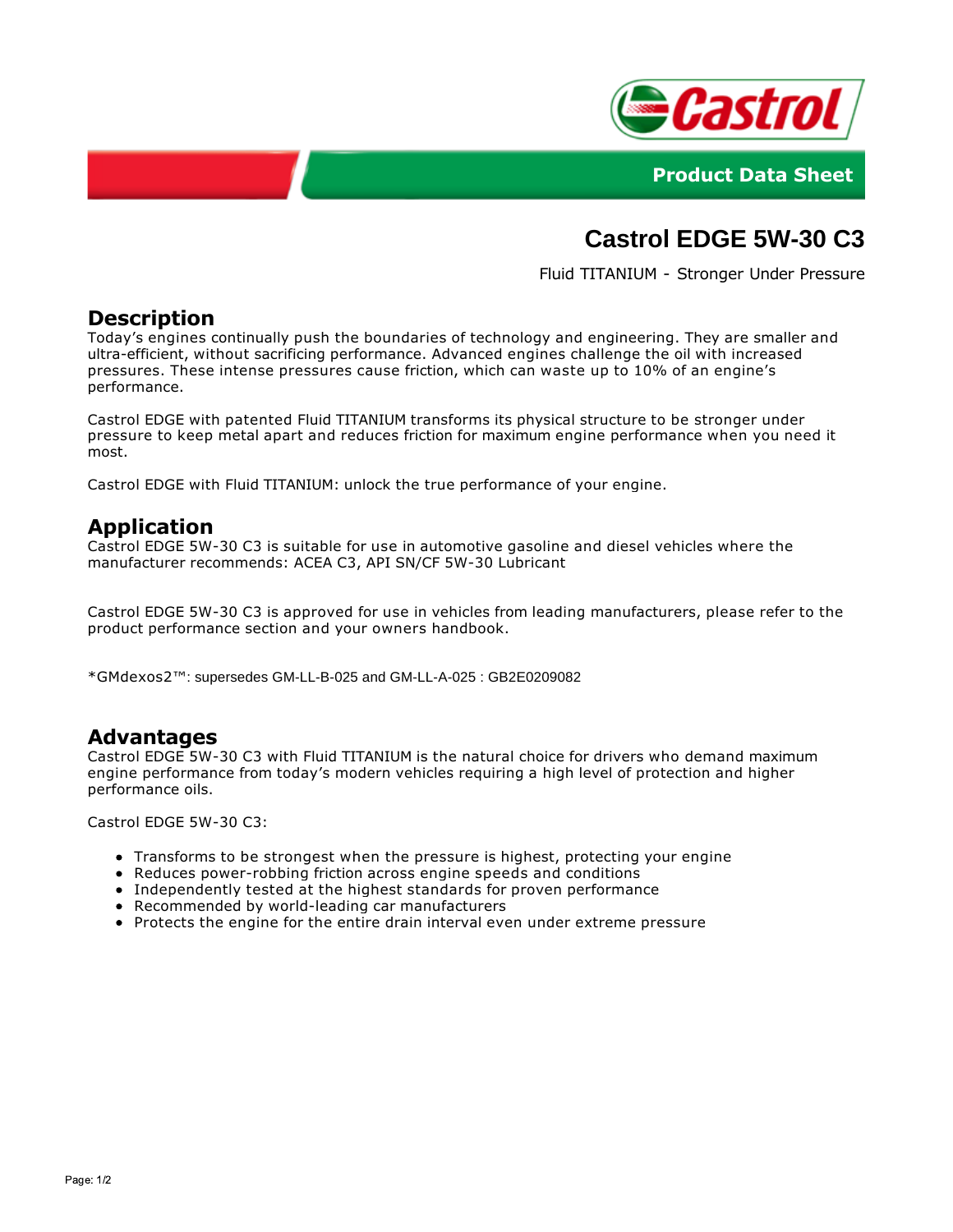



# **Castrol EDGE 5W-30 C3**

Fluid TITANIUM - Stronger Under Pressure

## **Description**

Today's engines continually push the boundaries of technology and engineering. They are smaller and ultra-efficient, without sacrificing performance. Advanced engines challenge the oil with increased pressures. These intense pressures cause friction, which can waste up to 10% of an engine's performance.

Castrol EDGE with patented Fluid TITANIUM transforms its physical structure to be stronger under pressure to keep metal apart and reduces friction for maximum engine performance when you need it most.

Castrol EDGE with Fluid TITANIUM: unlock the true performance of your engine.

## **Application**

Castrol EDGE 5W-30 C3 is suitable for use in automotive gasoline and diesel vehicles where the manufacturer recommends: ACEA C3, API SN/CF 5W-30 Lubricant

Castrol EDGE 5W-30 C3 is approved for use in vehicles from leading manufacturers, please refer to the product performance section and your owners handbook.

\*GMdexos2™: supersedes GM-LL-B-025 and GM-LL-A-025 : GB2E0209082

#### **Advantages**

Castrol EDGE 5W-30 C3 with Fluid TITANIUM is the natural choice for drivers who demand maximum engine performance from today's modern vehicles requiring a high level of protection and higher performance oils.

Castrol EDGE 5W-30 C3:

- Transforms to be strongest when the pressure is highest, protecting your engine
- Reduces power-robbing friction across engine speeds and conditions
- Independently tested at the highest standards for proven performance
- Recommended by world-leading car manufacturers
- Protects the engine for the entire drain interval even under extreme pressure